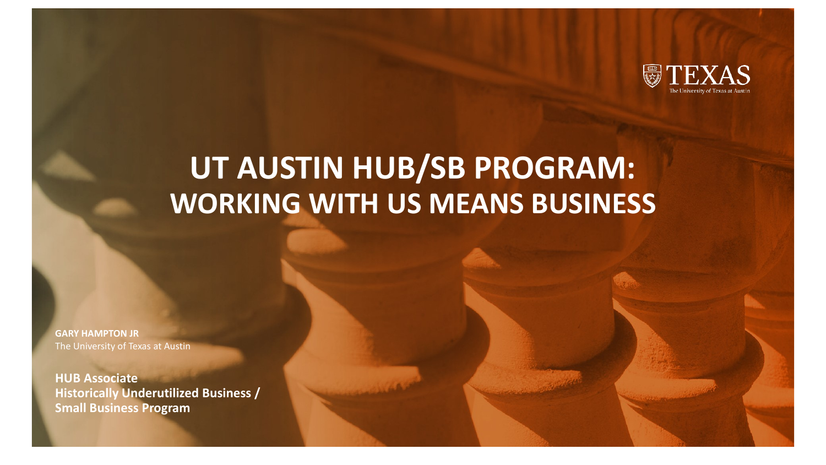

# **UT AUSTIN HUB/SB PROGRAM: WORKING WITH US MEANS BUSINESS**

**GARY HAMPTON JR** The University of Texas at Austin

**HUB Associate Historically Underutilized Business / Small Business Program**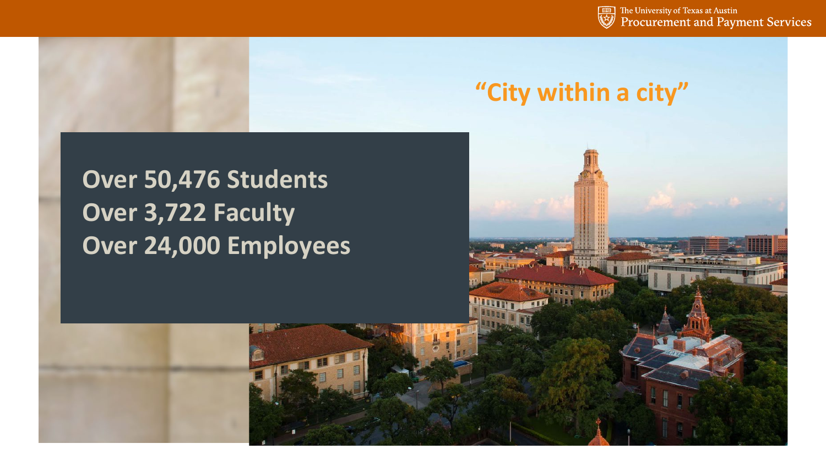The University of Texas at Austin<br>Procurement and Payment Services

## **"City within a city"**

## **Over 50,476 Students Over 3,722 Faculty Over 24,000 Employees**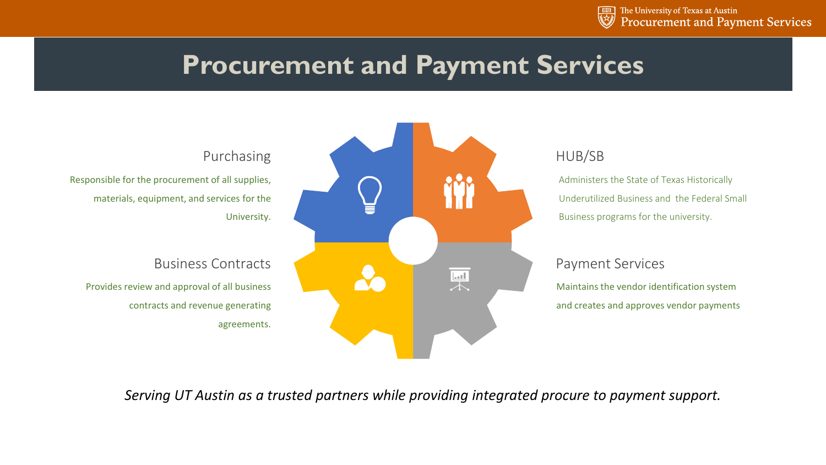

### **Procurement and Payment Services**



#### HUB/SB

Administers the State of Texas Historically Underutilized Business and the Federal Small Business programs for the university.

#### Payment Services

Maintains the vendor identification system and creates and approves vendor payments

*Serving UT Austin as a trusted partners while providing integrated procure to payment support.*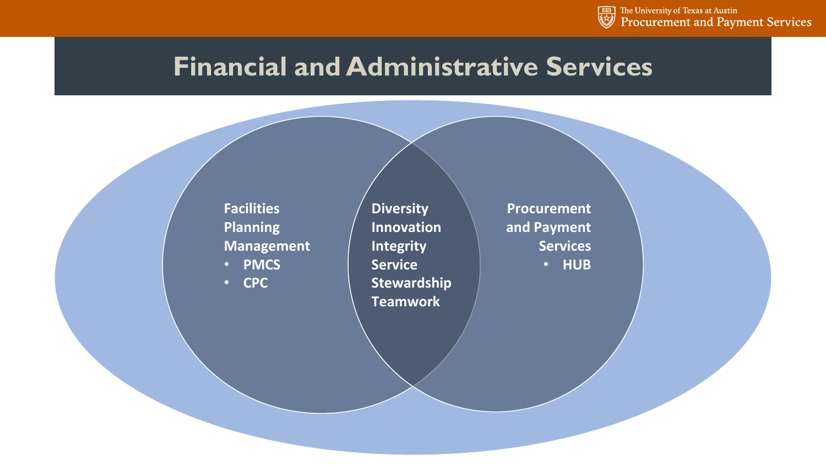

### **Financial and Administrative Services**

**Facilities Planning Management** • **PMCS**

• **CPC**

**Diversity Innovation Integrity Service Stewardship Teamwork**

**Procurement and Payment Services**  • **HUB**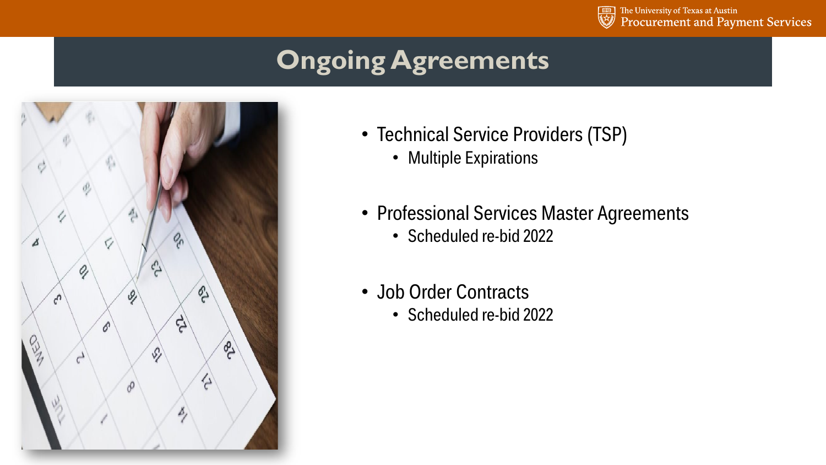

# **Ongoing Agreements**



- Technical Service Providers (TSP)
	- Multiple Expirations
- Professional Services Master Agreements
	- Scheduled re-bid 2022
- Job Order Contracts
	- Scheduled re-bid 2022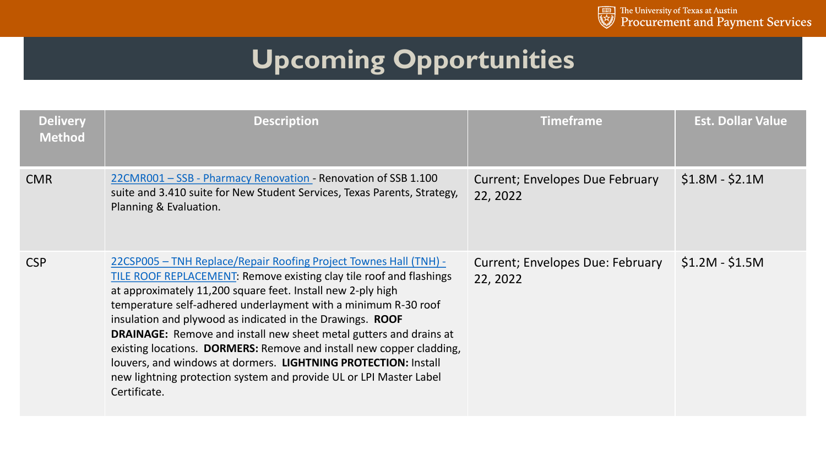

# **Upcoming Opportunities**

| <b>Delivery</b><br><b>Method</b> | <b>Description</b>                                                                                                                                                                                                                                                                                                                                                                                                                                                                                                                                                                                                                                  | <b>Timeframe</b>                                    | <b>Est. Dollar Value</b> |
|----------------------------------|-----------------------------------------------------------------------------------------------------------------------------------------------------------------------------------------------------------------------------------------------------------------------------------------------------------------------------------------------------------------------------------------------------------------------------------------------------------------------------------------------------------------------------------------------------------------------------------------------------------------------------------------------------|-----------------------------------------------------|--------------------------|
| <b>CMR</b>                       | 22CMR001 - SSB - Pharmacy Renovation - Renovation of SSB 1.100<br>suite and 3.410 suite for New Student Services, Texas Parents, Strategy,<br>Planning & Evaluation.                                                                                                                                                                                                                                                                                                                                                                                                                                                                                | Current; Envelopes Due February<br>22, 2022         | $$1.8M - $2.1M$          |
| <b>CSP</b>                       | 22CSP005 - TNH Replace/Repair Roofing Project Townes Hall (TNH) -<br>TILE ROOF REPLACEMENT: Remove existing clay tile roof and flashings<br>at approximately 11,200 square feet. Install new 2-ply high<br>temperature self-adhered underlayment with a minimum R-30 roof<br>insulation and plywood as indicated in the Drawings. ROOF<br><b>DRAINAGE:</b> Remove and install new sheet metal gutters and drains at<br>existing locations. DORMERS: Remove and install new copper cladding,<br>louvers, and windows at dormers. LIGHTNING PROTECTION: Install<br>new lightning protection system and provide UL or LPI Master Label<br>Certificate. | <b>Current: Envelopes Due: February</b><br>22, 2022 | $$1.2M - $1.5M$          |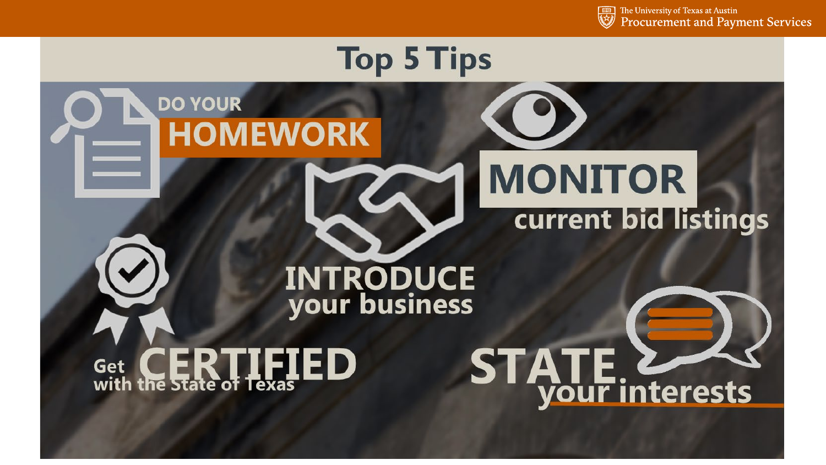

# **Top 5 Tips DO YOUR HOMEWORK MONITOR current bid listings INTRODUCE**<br>your business **STATE 2 TFIED** Get with the state of Texas